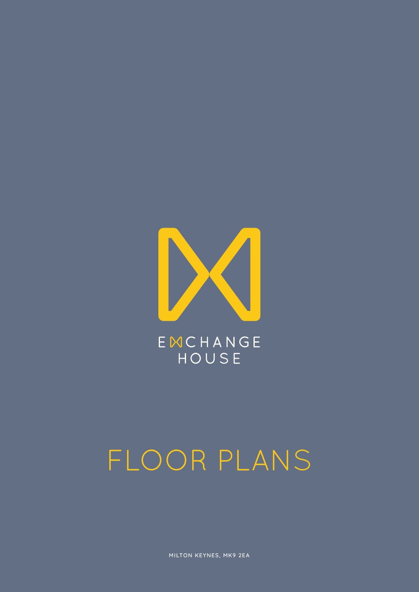

EMCHANGE HOUSE

#### FLOOR PLANS

MILTON KEYNES, MK9 2EA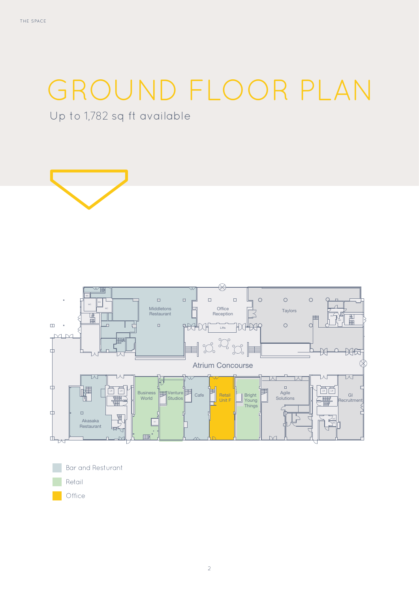### GROUND FLOOR PLAN

Up to 1,782 sq ft available





Bar and Resturant Retail Office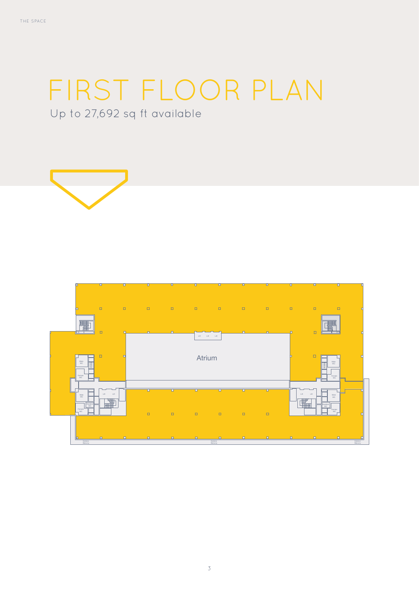## FIRST FLOOR PLAN

Up to 27,692 sq ft available



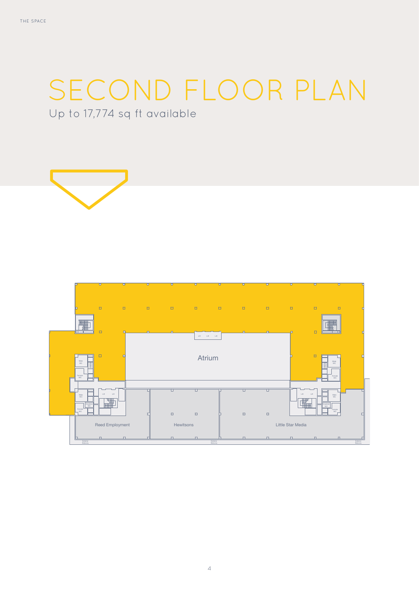# SECOND FLOOR PLAN

Up to 17,774 sq ft available



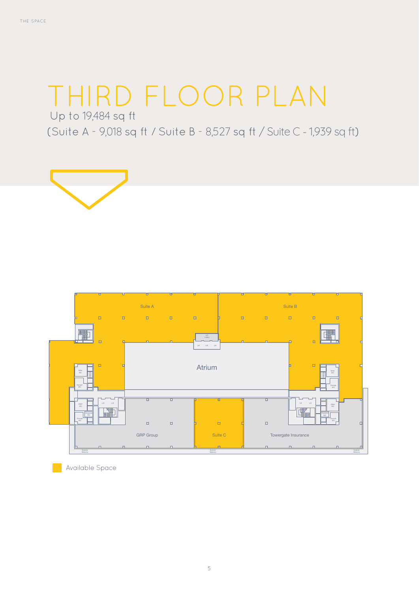### THIRD FLOOR PLAN

Up to 19,484 sq ft

(Suite A - 9,018 sq ft / Suite B - 8,527 sq ft / Suite C - 1,939 sq ft)





Available Space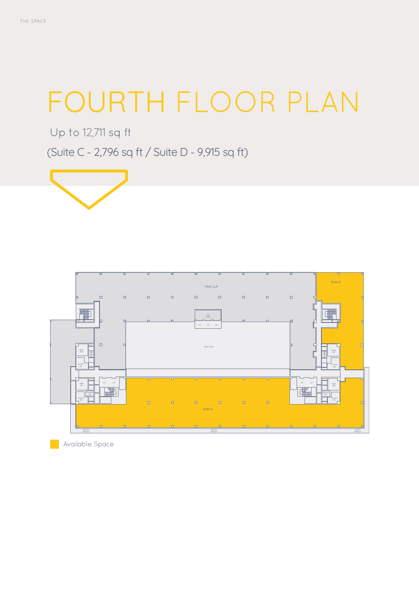### FOURTH FLOOR PLAN

Up to 12,711 sq ft

(Suite C - 2,796 sq ft / Suite D - 9,915 sq ft)





Available Space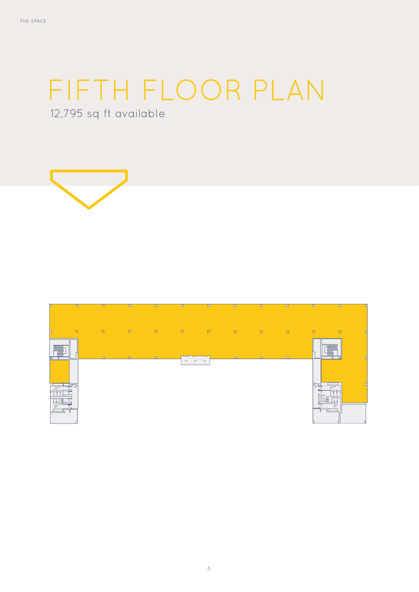### FIFTH FLOOR PLAN

12,795 sq ft available